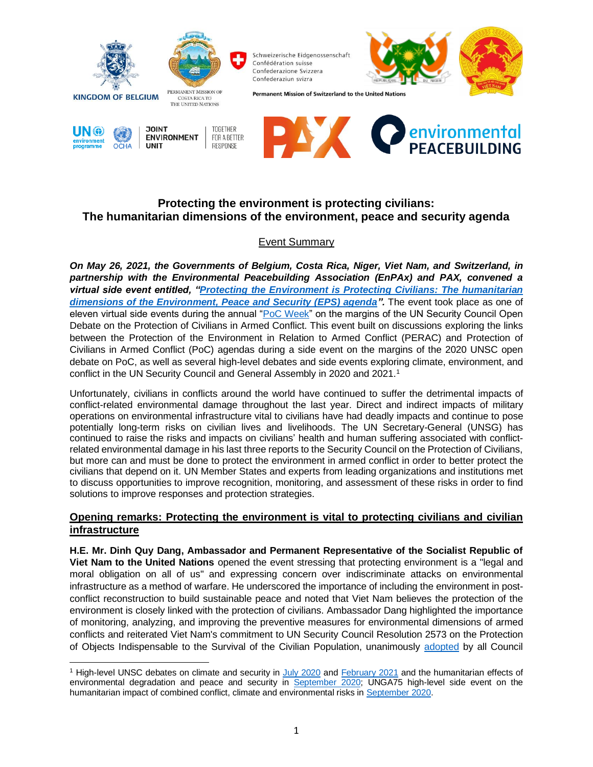

# **Protecting the environment is protecting civilians: The humanitarian dimensions of the environment, peace and security agenda**

## Event Summary

*On May 26, 2021, the Governments of Belgium, Costa Rica, Niger, Viet Nam, and Switzerland, in partnership with the Environmental Peacebuilding Association (EnPAx) and PAX, convened a virtual side event entitled, ["Protecting the Environment is Protecting Civilians: The humanitarian](https://protectionofcivilians.org/event/poc-week-event-protecting-the-environment-is-protecting-civilians/)  [dimensions of the Environment, Peace and Security \(EPS\) agenda"](https://protectionofcivilians.org/event/poc-week-event-protecting-the-environment-is-protecting-civilians/).* The event took place as one of eleven virtual side events during the annual ["PoC Week"](https://www.unocha.org/protection-civilians-week-2021) on the margins of the UN Security Council Open Debate on the Protection of Civilians in Armed Conflict. This event built on discussions exploring the links between the Protection of the Environment in Relation to Armed Conflict (PERAC) and Protection of Civilians in Armed Conflict (PoC) agendas during a side event on the margins of the 2020 UNSC open debate on PoC, as well as several high-level debates and side events exploring climate, environment, and conflict in the UN Security Council and General Assembly in 2020 and 2021.<sup>1</sup>

Unfortunately, civilians in conflicts around the world have continued to suffer the detrimental impacts of conflict-related environmental damage throughout the last year. Direct and indirect impacts of military operations on environmental infrastructure vital to civilians have had deadly impacts and continue to pose potentially long-term risks on civilian lives and livelihoods. The UN Secretary-General (UNSG) has continued to raise the risks and impacts on civilians' health and human suffering associated with conflictrelated environmental damage in his last three reports to the Security Council on the Protection of Civilians, but more can and must be done to protect the environment in armed conflict in order to better protect the civilians that depend on it. UN Member States and experts from leading organizations and institutions met to discuss opportunities to improve recognition, monitoring, and assessment of these risks in order to find solutions to improve responses and protection strategies.

## **Opening remarks: Protecting the environment is vital to protecting civilians and civilian infrastructure**

**H.E. Mr. Dinh Quy Dang, Ambassador and Permanent Representative of the Socialist Republic of Viet Nam to the United Nations** opened the event stressing that protecting environment is a "legal and moral obligation on all of us" and expressing concern over indiscriminate attacks on environmental infrastructure as a method of warfare. He underscored the importance of including the environment in postconflict reconstruction to build sustainable peace and noted that Viet Nam believes the protection of the environment is closely linked with the protection of civilians. Ambassador Dang highlighted the importance of monitoring, analyzing, and improving the preventive measures for environmental dimensions of armed conflicts and reiterated Viet Nam's commitment to UN Security Council Resolution 2573 on the Protection of Objects Indispensable to the Survival of the Civilian Population, unanimously [adopted](https://www.un.org/press/en/2021/sc14506.doc.htm) by all Council

<sup>1</sup> High-level UNSC debates on climate and security in [July 2020](http://webtv.un.org/search/maintenance-of-international-peace-and-security-climate-and-security-security-council-open-vtc/6174906506001/?term=2020-07-24&sort=date) and [February 2021](http://webtv.un.org/search/maintenance-of-international-peace-and-security-climate-and-security-security-council-open-vtc/6234686966001/?term=climate%20and%20security&sort=date) and the humanitarian effects of environmental degradation and peace and security in [September 2020;](http://webtv.un.org/search/humanitarian-effects-of-environmental-degradation-and-peace-and-security-security-council-open-vtc/6191918775001/?term=2020-09-17&sort=date) UNGA75 high-level side event on the humanitarian impact of combined conflict, climate and environmental risks in [September 2020.](https://webcast.ec.europa.eu/the-humanitarian-impact-of-combined-conflict-climate-and-environmental-risks)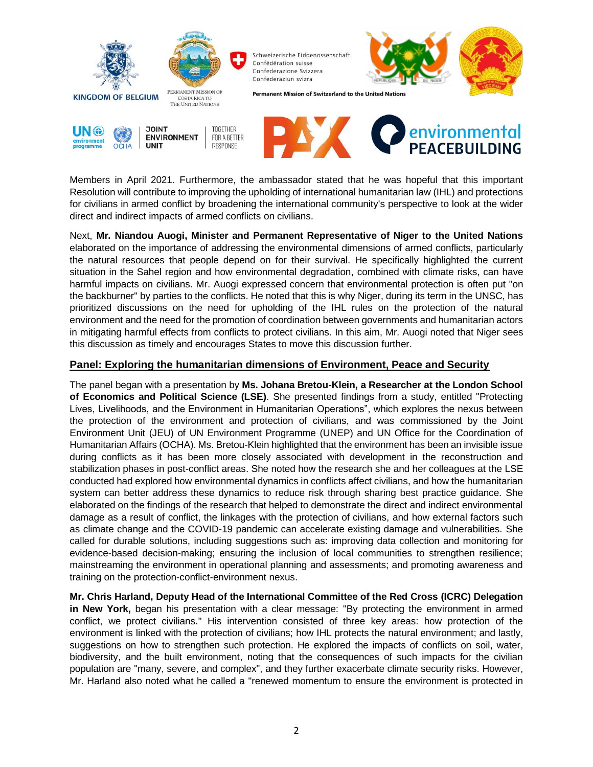

Members in April 2021. Furthermore, the ambassador stated that he was hopeful that this important Resolution will contribute to improving the upholding of international humanitarian law (IHL) and protections for civilians in armed conflict by broadening the international community's perspective to look at the wider direct and indirect impacts of armed conflicts on civilians.

Next, **Mr. Niandou Auogi, Minister and Permanent Representative of Niger to the United Nations** elaborated on the importance of addressing the environmental dimensions of armed conflicts, particularly the natural resources that people depend on for their survival. He specifically highlighted the current situation in the Sahel region and how environmental degradation, combined with climate risks, can have harmful impacts on civilians. Mr. Auogi expressed concern that environmental protection is often put "on the backburner" by parties to the conflicts. He noted that this is why Niger, during its term in the UNSC, has prioritized discussions on the need for upholding of the IHL rules on the protection of the natural environment and the need for the promotion of coordination between governments and humanitarian actors in mitigating harmful effects from conflicts to protect civilians. In this aim, Mr. Auogi noted that Niger sees this discussion as timely and encourages States to move this discussion further.

### **Panel: Exploring the humanitarian dimensions of Environment, Peace and Security**

The panel began with a presentation by **Ms. Johana Bretou-Klein, a Researcher at the London School of Economics and Political Science (LSE)**. She presented findings from a study, entitled "Protecting Lives, Livelihoods, and the Environment in Humanitarian Operations", which explores the nexus between the protection of the environment and protection of civilians, and was commissioned by the Joint Environment Unit (JEU) of UN Environment Programme (UNEP) and UN Office for the Coordination of Humanitarian Affairs (OCHA). Ms. Bretou-Klein highlighted that the environment has been an invisible issue during conflicts as it has been more closely associated with development in the reconstruction and stabilization phases in post-conflict areas. She noted how the research she and her colleagues at the LSE conducted had explored how environmental dynamics in conflicts affect civilians, and how the humanitarian system can better address these dynamics to reduce risk through sharing best practice guidance. She elaborated on the findings of the research that helped to demonstrate the direct and indirect environmental damage as a result of conflict, the linkages with the protection of civilians, and how external factors such as climate change and the COVID-19 pandemic can accelerate existing damage and vulnerabilities. She called for durable solutions, including suggestions such as: improving data collection and monitoring for evidence-based decision-making; ensuring the inclusion of local communities to strengthen resilience; mainstreaming the environment in operational planning and assessments; and promoting awareness and training on the protection-conflict-environment nexus.

**Mr. Chris Harland, Deputy Head of the International Committee of the Red Cross (ICRC) Delegation in New York,** began his presentation with a clear message: "By protecting the environment in armed conflict, we protect civilians." His intervention consisted of three key areas: how protection of the environment is linked with the protection of civilians; how IHL protects the natural environment; and lastly, suggestions on how to strengthen such protection. He explored the impacts of conflicts on soil, water, biodiversity, and the built environment, noting that the consequences of such impacts for the civilian population are "many, severe, and complex", and they further exacerbate climate security risks. However, Mr. Harland also noted what he called a "renewed momentum to ensure the environment is protected in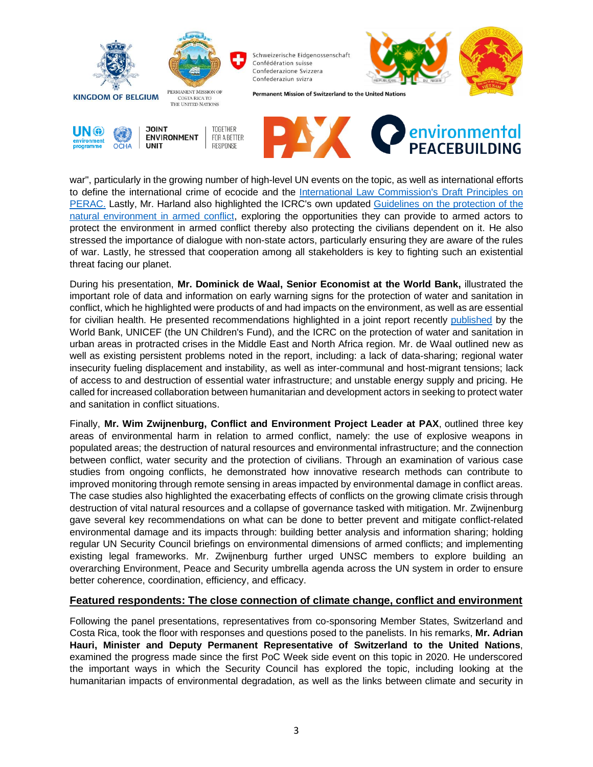

war", particularly in the growing number of high-level UN events on the topic, as well as international efforts to define the international crime of ecocide and the [International Law Commission's](https://legal.un.org/ilc/guide/8_7.shtml) Draft Principles on [PERAC.](https://legal.un.org/ilc/guide/8_7.shtml) Lastly, Mr. Harland also highlighted the ICRC's own updated Guidelines on the [protection of the](https://www.icrc.org/en/document/guidelines-protection-natural-environment-armed-conflict-rules-and-recommendations-relating)  [natural environment in armed conflict,](https://www.icrc.org/en/document/guidelines-protection-natural-environment-armed-conflict-rules-and-recommendations-relating) exploring the opportunities they can provide to armed actors to protect the environment in armed conflict thereby also protecting the civilians dependent on it. He also stressed the importance of dialogue with non-state actors, particularly ensuring they are aware of the rules of war. Lastly, he stressed that cooperation among all stakeholders is key to fighting such an existential threat facing our planet.

During his presentation, **Mr. Dominick de Waal, Senior Economist at the World Bank,** illustrated the important role of data and information on early warning signs for the protection of water and sanitation in conflict, which he highlighted were products of and had impacts on the environment, as well as are essential for civilian health. He presented recommendations highlighted in a joint report recently [published](https://www.icrc.org/en/document/joining-forces-secure-water-and-sanitation-protracted-crises) by the World Bank, UNICEF (the UN Children's Fund), and the ICRC on the protection of water and sanitation in urban areas in protracted crises in the Middle East and North Africa region. Mr. de Waal outlined new as well as existing persistent problems noted in the report, including: a lack of data-sharing; regional water insecurity fueling displacement and instability, as well as inter-communal and host-migrant tensions; lack of access to and destruction of essential water infrastructure; and unstable energy supply and pricing. He called for increased collaboration between humanitarian and development actors in seeking to protect water and sanitation in conflict situations.

Finally, **Mr. Wim Zwijnenburg, Conflict and Environment Project Leader at PAX**, outlined three key areas of environmental harm in relation to armed conflict, namely: the use of explosive weapons in populated areas; the destruction of natural resources and environmental infrastructure; and the connection between conflict, water security and the protection of civilians. Through an examination of various case studies from ongoing conflicts, he demonstrated how innovative research methods can contribute to improved monitoring through remote sensing in areas impacted by environmental damage in conflict areas. The case studies also highlighted the exacerbating effects of conflicts on the growing climate crisis through destruction of vital natural resources and a collapse of governance tasked with mitigation. Mr. Zwijnenburg gave several key recommendations on what can be done to better prevent and mitigate conflict-related environmental damage and its impacts through: building better analysis and information sharing; holding regular UN Security Council briefings on environmental dimensions of armed conflicts; and implementing existing legal frameworks. Mr. Zwijnenburg further urged UNSC members to explore building an overarching Environment, Peace and Security umbrella agenda across the UN system in order to ensure better coherence, coordination, efficiency, and efficacy.

### **Featured respondents: The close connection of climate change, conflict and environment**

Following the panel presentations, representatives from co-sponsoring Member States, Switzerland and Costa Rica, took the floor with responses and questions posed to the panelists. In his remarks, **Mr. Adrian Hauri, Minister and Deputy Permanent Representative of Switzerland to the United Nations**, examined the progress made since the first PoC Week side event on this topic in 2020. He underscored the important ways in which the Security Council has explored the topic, including looking at the humanitarian impacts of environmental degradation, as well as the links between climate and security in